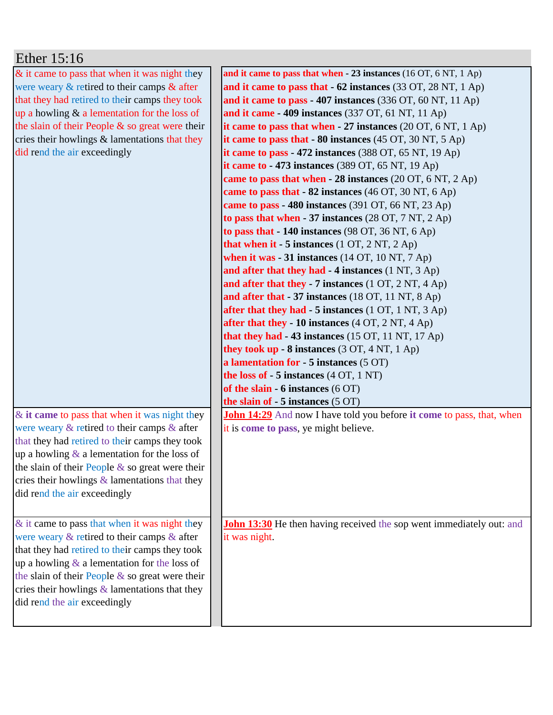| Ether 15:16                                                                      |                                                                              |
|----------------------------------------------------------------------------------|------------------------------------------------------------------------------|
| & it came to pass that when it was night they                                    | and it came to pass that when $-23$ instances (16 OT, 6 NT, 1 Ap)            |
| were weary & retired to their camps & after                                      | and it came to pass that $-62$ instances (33 OT, 28 NT, 1 Ap)                |
| that they had retired to their camps they took                                   | and it came to pass - 407 instances (336 OT, 60 NT, 11 Ap)                   |
| up a howling $&$ a lementation for the loss of                                   | and it came $-409$ instances (337 OT, 61 NT, 11 Ap)                          |
| the slain of their People $\&$ so great were their                               | it came to pass that when $-27$ instances (20 OT, 6 NT, 1 Ap)                |
| cries their howlings & lamentations that they                                    | it came to pass that $-80$ instances (45 OT, 30 NT, 5 Ap)                    |
| did rend the air exceedingly                                                     | it came to pass $-472$ instances (388 OT, 65 NT, 19 Ap)                      |
|                                                                                  | it came to $-473$ instances (389 OT, 65 NT, 19 Ap)                           |
|                                                                                  | came to pass that when $-28$ instances (20 OT, 6 NT, 2 Ap)                   |
|                                                                                  | came to pass that $-82$ instances (46 OT, 30 NT, 6 Ap)                       |
|                                                                                  | came to pass - 480 instances (391 OT, 66 NT, 23 Ap)                          |
|                                                                                  | to pass that when $-37$ instances (28 OT, 7 NT, 2 Ap)                        |
|                                                                                  | to pass that $-140$ instances (98 OT, 36 NT, 6 Ap)                           |
|                                                                                  | that when it - 5 instances $(1 OT, 2 NT, 2 Ap)$                              |
|                                                                                  | when it was $-31$ instances (14 OT, 10 NT, 7 Ap)                             |
|                                                                                  | and after that they had $-4$ instances (1 NT, 3 Ap)                          |
|                                                                                  | and after that they - 7 instances $(1 OT, 2 NT, 4 Ap)$                       |
|                                                                                  | and after that - 37 instances (18 OT, 11 NT, 8 Ap)                           |
|                                                                                  | after that they had - 5 instances (1 OT, 1 NT, 3 Ap)                         |
|                                                                                  | after that they - 10 instances $(4 OT, 2 NT, 4 Ap)$                          |
|                                                                                  | that they had -43 instances (15 OT, 11 NT, 17 Ap)                            |
|                                                                                  | they took up - 8 instances (3 OT, 4 NT, 1 Ap)                                |
|                                                                                  | a lamentation for $-5$ instances $(5 \text{ OT})$                            |
|                                                                                  | the loss of $-5$ instances $(4$ OT, $1$ NT)                                  |
|                                                                                  | of the slain - $6$ instances $(6 \text{ OT})$                                |
|                                                                                  | the slain of $-5$ instances $(5 \text{ OT})$                                 |
| & it came to pass that when it was night they                                    | <b>John 14:29</b> And now I have told you before it come to pass, that, when |
| were weary $&$ retired to their camps $&$ after                                  | it is come to pass, ye might believe.                                        |
| that they had retired to their camps they took                                   |                                                                              |
| up a howling $\&$ a lementation for the loss of                                  |                                                                              |
| the slain of their People $\&$ so great were their                               |                                                                              |
| cries their howlings $\&$ lamentations that they<br>did rend the air exceedingly |                                                                              |
|                                                                                  |                                                                              |
|                                                                                  |                                                                              |
| $&$ it came to pass that when it was night they                                  | <b>John 13:30</b> He then having received the sop went immediately out: and  |
| were weary $&$ retired to their camps $&$ after                                  | it was night.                                                                |
| that they had retired to their camps they took                                   |                                                                              |
| up a howling $\&$ a lementation for the loss of                                  |                                                                              |
| the slain of their People $\&$ so great were their                               |                                                                              |
| cries their howlings $\&$ lamentations that they                                 |                                                                              |
| did rend the air exceedingly                                                     |                                                                              |
|                                                                                  |                                                                              |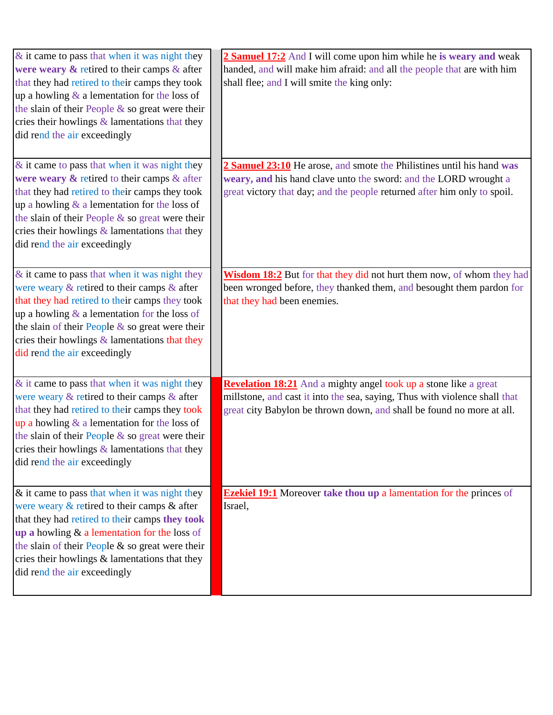| $\&$ it came to pass that when it was night they<br>were weary $\&$ retired to their camps $\&$ after<br>that they had retired to their camps they took<br>up a howling $\&$ a lementation for the loss of<br>the slain of their People & so great were their<br>cries their howlings & lamentations that they<br>did rend the air exceedingly      | 2 Samuel 17:2 And I will come upon him while he is weary and weak<br>handed, and will make him afraid: and all the people that are with him<br>shall flee; and I will smite the king only:                              |
|-----------------------------------------------------------------------------------------------------------------------------------------------------------------------------------------------------------------------------------------------------------------------------------------------------------------------------------------------------|-------------------------------------------------------------------------------------------------------------------------------------------------------------------------------------------------------------------------|
| $&$ it came to pass that when it was night they<br>were weary $\&$ retired to their camps $\&$ after<br>that they had retired to their camps they took<br>up a howling $\&$ a lementation for the loss of<br>the slain of their People $\&$ so great were their<br>cries their howlings $\&$ lamentations that they<br>did rend the air exceedingly | 2 Samuel 23:10 He arose, and smote the Philistines until his hand was<br>weary, and his hand clave unto the sword: and the LORD wrought a<br>great victory that day; and the people returned after him only to spoil.   |
| $&$ it came to pass that when it was night they<br>were weary $&$ retired to their camps $&$ after<br>that they had retired to their camps they took<br>up a howling $\&$ a lementation for the loss of<br>the slain of their People $\&$ so great were their<br>cries their howlings & lamentations that they<br>did rend the air exceedingly      | Wisdom 18:2 But for that they did not hurt them now, of whom they had<br>been wronged before, they thanked them, and besought them pardon for<br>that they had been enemies.                                            |
| & it came to pass that when it was night they<br>were weary $&$ retired to their camps $&$ after<br>that they had retired to their camps they took<br>up a howling $\&$ a lementation for the loss of<br>the slain of their People $\&$ so great were their<br>cries their howlings & lamentations that they<br>did rend the air exceedingly        | Revelation 18:21 And a mighty angel took up a stone like a great<br>millstone, and cast it into the sea, saying, Thus with violence shall that<br>great city Babylon be thrown down, and shall be found no more at all. |
| & it came to pass that when it was night they<br>were weary $&$ retired to their camps $&$ after<br>that they had retired to their camps they took<br>up a howling $&$ a lementation for the loss of<br>the slain of their People & so great were their<br>cries their howlings & lamentations that they<br>did rend the air exceedingly            | <b>Ezekiel 19:1</b> Moreover take thou up a lamentation for the princes of<br>Israel,                                                                                                                                   |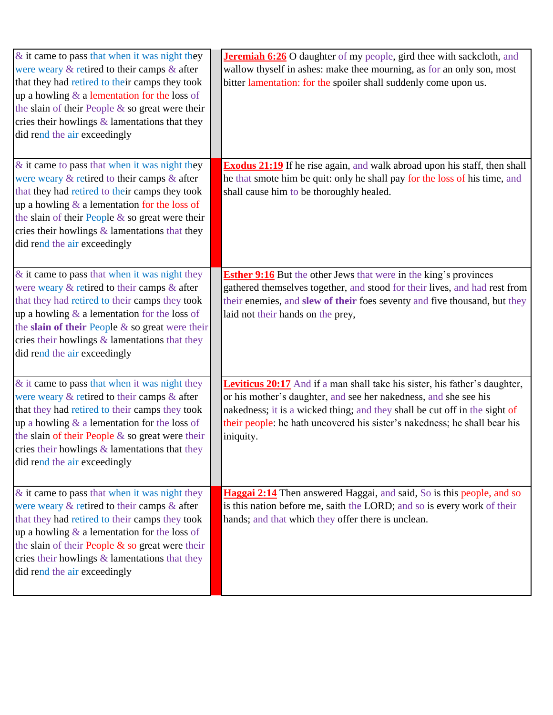| $\&$ it came to pass that when it was night they<br>were weary $&$ retired to their camps $&$ after<br>that they had retired to their camps they took<br>up a howling $&$ a lementation for the loss of<br>the slain of their People & so great were their<br>cries their howlings $&$ lamentations that they<br>did rend the air exceedingly  | <b>Jeremiah 6:26</b> O daughter of my people, gird thee with sackcloth, and<br>wallow thyself in ashes: make thee mourning, as for an only son, most<br>bitter lamentation: for the spoiler shall suddenly come upon us.                                                                                                      |
|------------------------------------------------------------------------------------------------------------------------------------------------------------------------------------------------------------------------------------------------------------------------------------------------------------------------------------------------|-------------------------------------------------------------------------------------------------------------------------------------------------------------------------------------------------------------------------------------------------------------------------------------------------------------------------------|
| & it came to pass that when it was night they<br>were weary $&$ retired to their camps $&$ after<br>that they had retired to their camps they took<br>up a howling $\&$ a lementation for the loss of<br>the slain of their People $\&$ so great were their<br>cries their howlings $&$ lamentations that they<br>did rend the air exceedingly | <b>Exodus 21:19</b> If he rise again, and walk abroad upon his staff, then shall<br>he that smote him be quit: only he shall pay for the loss of his time, and<br>shall cause him to be thoroughly healed.                                                                                                                    |
| $\&$ it came to pass that when it was night they<br>were weary & retired to their camps & after<br>that they had retired to their camps they took<br>up a howling $\&$ a lementation for the loss of<br>the slain of their People $\&$ so great were their<br>cries their howlings & lamentations that they<br>did rend the air exceedingly    | <b>Esther 9:16</b> But the other Jews that were in the king's provinces<br>gathered themselves together, and stood for their lives, and had rest from<br>their enemies, and slew of their foes seventy and five thousand, but they<br>laid not their hands on the prey,                                                       |
| & it came to pass that when it was night they<br>were weary $&$ retired to their camps $&$ after<br>that they had retired to their camps they took<br>up a howling $\&$ a lementation for the loss of<br>the slain of their People & so great were their<br>cries their howlings $&$ lamentations that they<br>did rend the air exceedingly    | <b>Leviticus 20:17</b> And if a man shall take his sister, his father's daughter,<br>or his mother's daughter, and see her nakedness, and she see his<br>nakedness; it is a wicked thing; and they shall be cut off in the sight of<br>their people: he hath uncovered his sister's nakedness; he shall bear his<br>iniquity. |
| & it came to pass that when it was night they<br>were weary $&$ retired to their camps $&$ after<br>that they had retired to their camps they took<br>up a howling $\&$ a lementation for the loss of<br>the slain of their People $\&$ so great were their<br>cries their howlings & lamentations that they<br>did rend the air exceedingly   | Haggai 2:14 Then answered Haggai, and said, So is this people, and so<br>is this nation before me, saith the LORD; and so is every work of their<br>hands; and that which they offer there is unclean.                                                                                                                        |